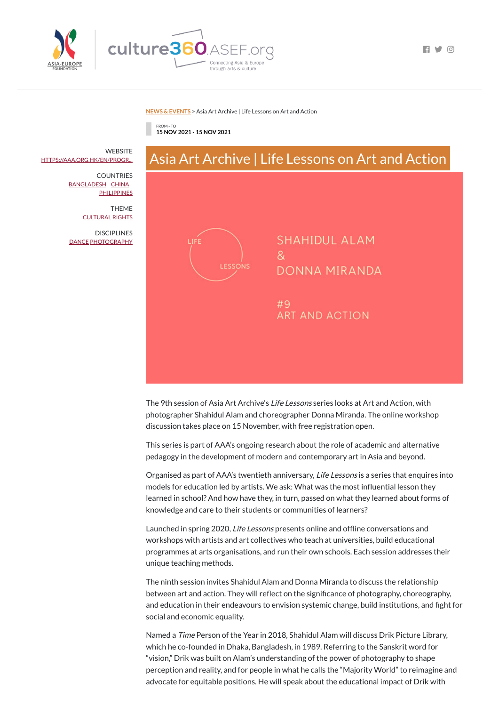

 $\blacksquare$ 

### **NEWS & [EVENTS](https://culture360.asef.org/news-events/)** > Asia Art Archive | Life Lessons on Art and Action

FROM - TO **15 NOV 2021 - 15 NOV 2021**



The 9th session of Asia Art Archive's Life Lessons series looks at Art and Action, with photographer Shahidul Alam and choreographer Donna Miranda. The online workshop discussion takes place on 15 November, with free registration open.

This series is part of AAA's ongoing research about the role of academic and alternative pedagogy in the development of modern and contemporary art in Asia and beyond.

Organised as part of AAA's twentieth anniversary, Life Lessons is a series that enquires into models for education led by artists. We ask: What was the most influential lesson they learned in school? And how have they, in turn, passed on what they learned about forms of knowledge and care to their students or communities of learners?

Launched in spring 2020, Life Lessons presents online and offline conversations and

**WEBSITE** [HTTPS://AAA.ORG.HK/EN/PROGR...](https://aaa.org.hk/en/programmes/programmes/life-lessons-9-shahidul-alam-donna-miranda-art-and-action)

> **COUNTRIES** [BANGLADESH](https://culture360.asef.org/countries/bangladesh/) [CHINA](https://culture360.asef.org/countries/china/) **[PHILIPPINES](https://culture360.asef.org/countries/philippines/)**

> **DISCIPLINES** [DANCE](https://culture360.asef.org/disciplines/dance/) [PHOTOGRAPHY](https://culture360.asef.org/disciplines/photography/)

> > workshops with artists and art collectives who teach at universities, build educational programmes at arts organisations, and run their own schools. Each session addresses their unique teaching methods.

The ninth session invites Shahidul Alam and Donna Miranda to discuss the relationship between art and action. They will reflect on the significance of photography, choreography, and education in their endeavours to envision systemic change, build institutions, and fight for social and economic equality.

Named a Time Person of the Year in 2018, Shahidul Alam will discuss Drik Picture Library, which he co-founded in Dhaka, Bangladesh, in 1989. Referring to the Sanskrit word for "vision," Drik was built on Alam's understanding of the power of photography to shape perception and reality, and for people in what he calls the "Majority World" to reimagine and advocate for equitable positions. He will speak about the educational impact of Drik with

THEME [CULTURAL](https://culture360.asef.org/themes/cultural-rights/) RIGHTS